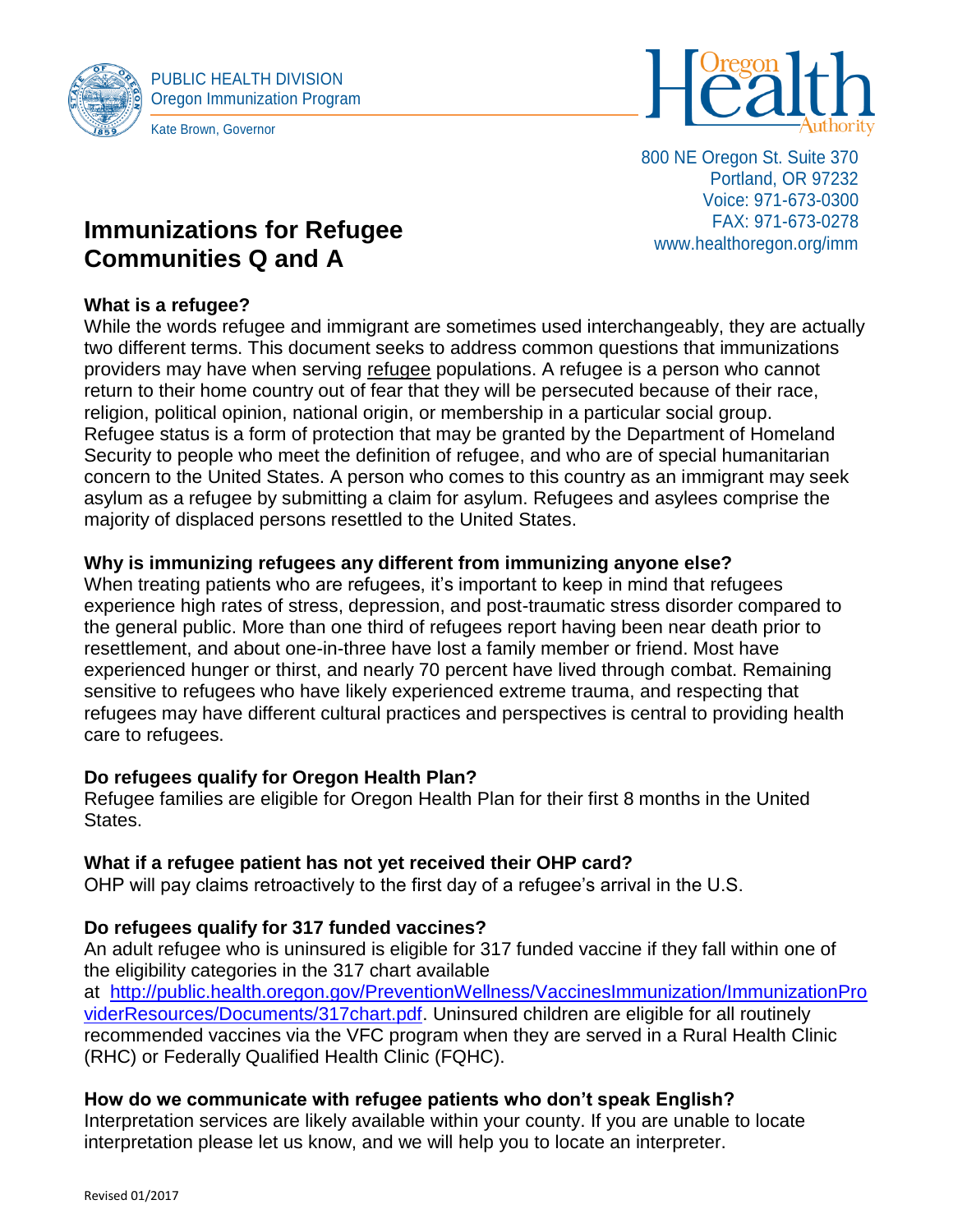



800 NE Oregon St. Suite 370 Portland, OR 97232 Voice: 971-673-0300 FAX: 971-673-0278 www.healthoregon.org/imm

# **Immunizations for Refugee Communities Q and A**

# **What is a refugee?**

While the words refugee and immigrant are sometimes used interchangeably, they are actually two different terms. This document seeks to address common questions that immunizations providers may have when serving refugee populations. A refugee is a person who cannot return to their home country out of fear that they will be persecuted because of their race, religion, political opinion, national origin, or membership in a particular social group. Refugee status is a form of protection that may be granted by the Department of Homeland Security to people who meet the definition of refugee, and who are of special humanitarian concern to the United States. A person who comes to this country as an immigrant may seek asylum as a refugee by submitting a claim for asylum. Refugees and asylees comprise the majority of displaced persons resettled to the United States.

# **Why is immunizing refugees any different from immunizing anyone else?**

When treating patients who are refugees, it's important to keep in mind that refugees experience high rates of stress, depression, and post-traumatic stress disorder compared to the general public. More than one third of refugees report having been near death prior to resettlement, and about one-in-three have lost a family member or friend. Most have experienced hunger or thirst, and nearly 70 percent have lived through combat. Remaining sensitive to refugees who have likely experienced extreme trauma, and respecting that refugees may have different cultural practices and perspectives is central to providing health care to refugees.

#### **Do refugees qualify for Oregon Health Plan?**

Refugee families are eligible for Oregon Health Plan for their first 8 months in the United States.

#### **What if a refugee patient has not yet received their OHP card?**

OHP will pay claims retroactively to the first day of a refugee's arrival in the U.S.

# **Do refugees qualify for 317 funded vaccines?**

An adult refugee who is uninsured is eligible for 317 funded vaccine if they fall within one of the eligibility categories in the 317 chart available

at [http://public.health.oregon.gov/PreventionWellness/VaccinesImmunization/ImmunizationPro](http://public.health.oregon.gov/PreventionWellness/VaccinesImmunization/ImmunizationProviderResources/Documents/317chart.pdf) [viderResources/Documents/317chart.pdf.](http://public.health.oregon.gov/PreventionWellness/VaccinesImmunization/ImmunizationProviderResources/Documents/317chart.pdf) Uninsured children are eligible for all routinely recommended vaccines via the VFC program when they are served in a Rural Health Clinic (RHC) or Federally Qualified Health Clinic (FQHC).

#### **How do we communicate with refugee patients who don't speak English?**

Interpretation services are likely available within your county. If you are unable to locate interpretation please let us know, and we will help you to locate an interpreter.